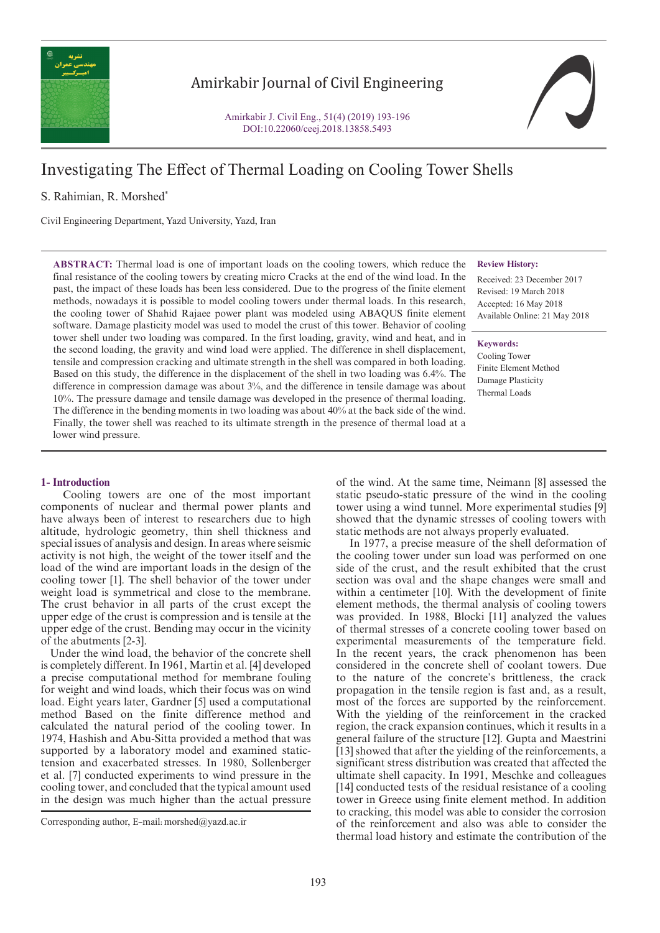

# Amirkabir Journal of Civil Engineering

Amirkabir J. Civil Eng., 51(4) (2019) 193-196 DOI:10.22060/ceej.2018.13858.5493

# Investigating The Effect of Thermal Loading on Cooling Tower Shells

## S. Rahimian, R. Morshed\*

Civil Engineering Department, Yazd University, Yazd, Iran

**ABSTRACT:** Thermal load is one of important loads on the cooling towers, which reduce the final resistance of the cooling towers by creating micro Cracks at the end of the wind load. In the past, the impact of these loads has been less considered. Due to the progress of the finite element methods, nowadays it is possible to model cooling towers under thermal loads. In this research, the cooling tower of Shahid Rajaee power plant was modeled using ABAQUS finite element software. Damage plasticity model was used to model the crust of this tower. Behavior of cooling tower shell under two loading was compared. In the first loading, gravity, wind and heat, and in the second loading, the gravity and wind load were applied. The difference in shell displacement, tensile and compression cracking and ultimate strength in the shell was compared in both loading. Based on this study, the difference in the displacement of the shell in two loading was 6.4%. The difference in compression damage was about 3%, and the difference in tensile damage was about 10%. The pressure damage and tensile damage was developed in the presence of thermal loading. The difference in the bending moments in two loading was about 40% at the back side of the wind. Finally, the tower shell was reached to its ultimate strength in the presence of thermal load at a lower wind pressure.

### **Review History:**

Received: 23 December 2017 Revised: 19 March 2018 Accepted: 16 May 2018 Available Online: 21 May 2018

#### **Keywords:**

Cooling Tower Finite Element Method Damage Plasticity Thermal Loads

#### **1- Introduction**

 Cooling towers are one of the most important components of nuclear and thermal power plants and have always been of interest to researchers due to high altitude, hydrologic geometry, thin shell thickness and special issues of analysis and design. In areas where seismic activity is not high, the weight of the tower itself and the load of the wind are important loads in the design of the cooling tower [1]. The shell behavior of the tower under weight load is symmetrical and close to the membrane. The crust behavior in all parts of the crust except the upper edge of the crust is compression and is tensile at the upper edge of the crust. Bending may occur in the vicinity of the abutments [2-3].

 Under the wind load, the behavior of the concrete shell is completely different. In 1961, Martin et al. [4] developed a precise computational method for membrane fouling for weight and wind loads, which their focus was on wind load. Eight years later, Gardner [5] used a computational method Based on the finite difference method and calculated the natural period of the cooling tower. In 1974, Hashish and Abu-Sitta provided a method that was supported by a laboratory model and examined statictension and exacerbated stresses. In 1980, Sollenberger et al. [7] conducted experiments to wind pressure in the cooling tower, and concluded that the typical amount used in the design was much higher than the actual pressure

of the wind. At the same time, Neimann [8] assessed the static pseudo-static pressure of the wind in the cooling tower using a wind tunnel. More experimental studies [9] showed that the dynamic stresses of cooling towers with static methods are not always properly evaluated.

 In 1977, a precise measure of the shell deformation of the cooling tower under sun load was performed on one side of the crust, and the result exhibited that the crust section was oval and the shape changes were small and within a centimeter [10]. With the development of finite element methods, the thermal analysis of cooling towers was provided. In 1988, Blocki [11] analyzed the values of thermal stresses of a concrete cooling tower based on experimental measurements of the temperature field. In the recent years, the crack phenomenon has been considered in the concrete shell of coolant towers. Due to the nature of the concrete's brittleness, the crack propagation in the tensile region is fast and, as a result, most of the forces are supported by the reinforcement. With the yielding of the reinforcement in the cracked region, the crack expansion continues, which it results in a general failure of the structure [12]. Gupta and Maestrini [13] showed that after the yielding of the reinforcements, a significant stress distribution was created that affected the ultimate shell capacity. In 1991, Meschke and colleagues [14] conducted tests of the residual resistance of a cooling tower in Greece using finite element method. In addition to cracking, this model was able to consider the corrosion of the reinforcement and also was able to consider the thermal load history and estimate the contribution of the

Corresponding author, E-mail: morshed@yazd.ac.ir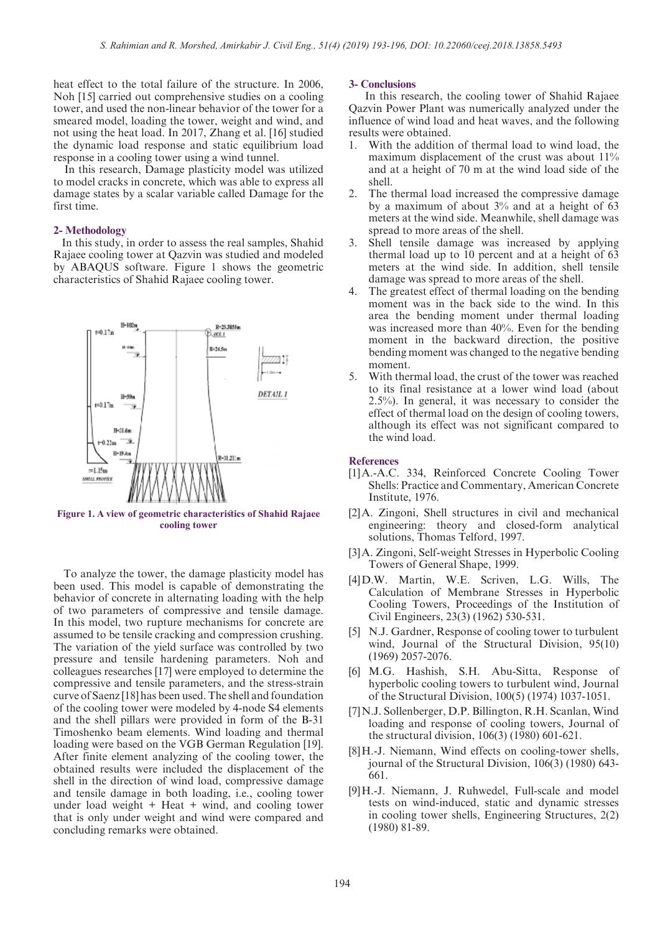heat effect to the total failure of the structure. In 2006, Noh [15] carried out comprehensive studies on a cooling tower, and used the non-linear behavior of the tower for a smeared model, loading the tower, weight and wind, and not using the heat load. In 2017, Zhang et al. [16] studied the dynamic load response and static equilibrium load response in a cooling tower using a wind tunnel.

 In this research, Damage plasticity model was utilized to model cracks in concrete, which was able to express all damage states by a scalar variable called Damage for the first time.

#### **2- Methodology**

 In this study, in order to assess the real samples, Shahid Rajaee cooling tower at Qazvin was studied and modeled by ABAQUS software. Figure 1 shows the geometric characteristics of Shahid Rajaee cooling tower.



**Figure 1. A view of geometric characteristics of Shahid Rajaee cooling tower**

 To analyze the tower, the damage plasticity model has been used. This model is capable of demonstrating the behavior of concrete in alternating loading with the help of two parameters of compressive and tensile damage. In this model, two rupture mechanisms for concrete are assumed to be tensile cracking and compression crushing. The variation of the yield surface was controlled by two pressure and tensile hardening parameters. Noh and colleagues researches [17] were employed to determine the compressive and tensile parameters, and the stress-strain curve of Saenz [18] has been used. The shell and foundation of the cooling tower were modeled by 4-node S4 elements and the shell pillars were provided in form of the B-31 Timoshenko beam elements. Wind loading and thermal loading were based on the VGB German Regulation [19]. After finite element analyzing of the cooling tower, the obtained results were included the displacement of the shell in the direction of wind load, compressive damage and tensile damage in both loading, i.e., cooling tower under load weight + Heat + wind, and cooling tower that is only under weight and wind were compared and concluding remarks were obtained.

#### **3- Conclusions**

 In this research, the cooling tower of Shahid Rajaee Qazvin Power Plant was numerically analyzed under the influence of wind load and heat waves, and the following results were obtained.

- 1. With the addition of thermal load to wind load, the maximum displacement of the crust was about 11% and at a height of 70 m at the wind load side of the shell.
- 2. The thermal load increased the compressive damage by a maximum of about 3% and at a height of 63 meters at the wind side. Meanwhile, shell damage was spread to more areas of the shell.
- 3. Shell tensile damage was increased by applying thermal load up to 10 percent and at a height of 63 meters at the wind side. In addition, shell tensile damage was spread to more areas of the shell.
- 4. The greatest effect of thermal loading on the bending moment was in the back side to the wind. In this area the bending moment under thermal loading was increased more than 40%. Even for the bending moment in the backward direction, the positive bending moment was changed to the negative bending moment.
- 5. With thermal load, the crust of the tower was reached to its final resistance at a lower wind load (about 2.5%). In general, it was necessary to consider the effect of thermal load on the design of cooling towers, although its effect was not significant compared to the wind load.

#### **References**

- [1]A.-A.C. 334, Reinforced Concrete Cooling Tower Shells: Practice and Commentary, American Concrete Institute, 1976.
- [2]A. Zingoni, Shell structures in civil and mechanical engineering: theory and closed-form analytical solutions, Thomas Telford, 1997.
- [3]A. Zingoni, Self-weight Stresses in Hyperbolic Cooling Towers of General Shape, 1999.
- [4]D.W. Martin, W.E. Scriven, L.G. Wills, The Calculation of Membrane Stresses in Hyperbolic Cooling Towers, Proceedings of the Institution of Civil Engineers, 23(3) (1962) 530-531.
- [5] N.J. Gardner, Response of cooling tower to turbulent wind, Journal of the Structural Division, 95(10) (1969) 2057-2076.
- [6] M.G. Hashish, S.H. Abu-Sitta, Response of hyperbolic cooling towers to turbulent wind, Journal of the Structural Division, 100(5) (1974) 1037-1051.
- [7]N.J. Sollenberger, D.P. Billington, R.H. Scanlan, Wind loading and response of cooling towers, Journal of the structural division, 106(3) (1980) 601-621.
- [8] H.-J. Niemann, Wind effects on cooling-tower shells, journal of the Structural Division, 106(3) (1980) 643- 661.
- [9]H.-J. Niemann, J. Ruhwedel, Full-scale and model tests on wind-induced, static and dynamic stresses in cooling tower shells, Engineering Structures, 2(2) (1980) 81-89.